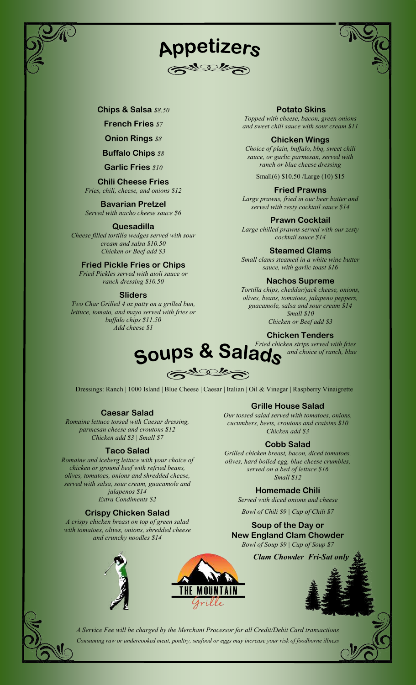





Chips & Salsa \$8.50

**French Fries \$7** 

**Onion Rings \$8** 

**Buffalo Chips \$8** 

Garlic Fries \$10

# Chili Cheese Fries

Fries, chili, cheese, and onions \$12

Bavarian Pretzel Served with nacho cheese sauce \$6

# Quesadilla

Cheese filled tortilla wedges served with sour cream and salsa \$10.50 Chicken or Beef add \$3

# Fried Pickle Fries or Chips

Fried Pickles served with aioli sauce or ranch dressing \$10.50

# Sliders

Two Char Grilled 4 oz patty on a grilled bun, lettuce, tomato, and mayo served with fries or buffalo chips \$11.50 Add cheese \$1

Potato Skins Topped with cheese, bacon, green onions and sweet chili sauce with sour cream \$11

# Chicken Wings

Choice of plain, buffalo, bbq, sweet chili sauce, or garlic parmesan, served with ranch or blue cheese dressing

Small(6) \$10.50 /Large (10) \$15

# Fried Prawns

Large prawns, fried in our beer batter and served with zesty cocktail sauce \$14

# Prawn Cocktail

Large chilled prawns served with our zesty cocktail sauce \$14

# Steamed Clams

Small clams steamed in a white wine butter sauce, with garlic toast \$16

# Nachos Supreme

Tortilla chips, cheddar/jack cheese, onions, olives, beans, tomatoes, jalapeno peppers, guacamole, salsa and sour cream \$14 Small \$10

Chicken or Beef add \$3

# Chicken Tenders

Fried chicken strips served with fries

# Soups & Salads and choice of ranch, blue  $\mathcal{L}_{q}$

Dressings: Ranch | 1000 Island | Blue Cheese | Caesar | Italian | Oil & Vinegar | Raspberry Vinaigrette

# Caesar Salad

Romaine lettuce tossed with Caesar dressing, parmesan cheese and croutons \$12 Chicken add \$3 | Small \$7

# Taco Salad

Romaine and iceberg lettuce with your choice of chicken or ground beef with refried beans, olives, tomatoes, onions and shredded cheese, served with salsa, sour cream, guacamole and jalapenos \$14 Extra Condiments \$2

# Crispy Chicken Salad

A crispy chicken breast on top of green salad with tomatoes, olives, onions, shredded cheese and crunchy noodles \$14



Our tossed salad served with tomatoes, onions, cucumbers, beets, croutons and craisins \$10 Chicken add \$3

# Cobb Salad

Grilled chicken breast, bacon, diced tomatoes, olives, hard boiled egg, blue cheese crumbles, served on a bed of lettuce \$16 Small \$12

# Homemade Chili

Served with diced onions and cheese

Bowl of Chili \$9 | Cup of Chili \$7

Soup of the Day or New England Clam Chowder Bowl of Soup \$9 | Cup of Soup \$7

**Clam Chowder Fri-Sat on** 





A Service Fee will be charged by the Merchant Processor for all Credit/Debit Card transactions Consuming raw or undercooked meat, poultry, seafood or eggs may increase your risk of foodborne illness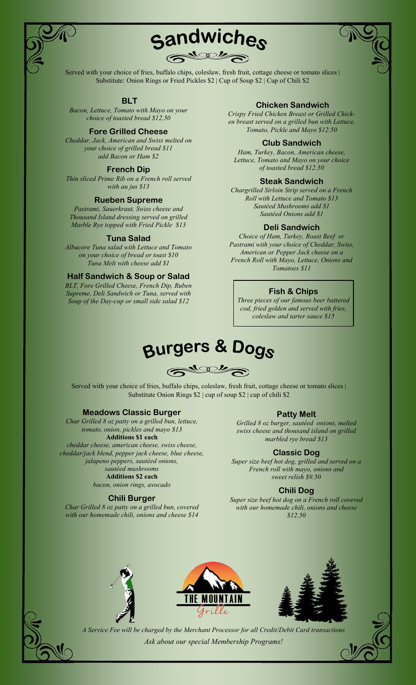



Served with your choice of fries, buffalo chips, coleslaw, fresh fruit, cottage cheese or tomato slices | Substitute: Onion Rings or Fried Pickles \$2 | Cup of Soup \$2 | Cup of Chili \$2

# BLT

Bacon, Lettuce, Tomato with Mayo on your choice of toasted bread \$12.50

#### Fore Grilled Cheese

Cheddar, Jack, American and Swiss melted on your choice of grilled bread \$11 add Bacon or Ham \$2

# French Dip

Thin sliced Prime Rib on a French roll served with au jus \$13

#### Rueben Supreme

Pastrami, Sauerkraut, Swiss cheese and Thousand Island dressing served on grilled Marble Rye topped with Fried Pickle \$13

# Tuna Salad

Albacore Tuna salad with Lettuce and Tomato on your choice of bread or toast \$10 Tuna Melt with cheese add \$1

#### Half Sandwich & Soup or Salad

BLT, Fore Grilled Cheese, French Dip, Ruben Supreme, Deli Sandwich or Tuna, served with Soup of the Day-cup or small side salad \$12

# Chicken Sandwich

Crispy Fried Chicken Breast or Grilled Chicken breast served on a grilled bun with Lettuce, Tomato, Pickle and Mayo \$12.50

#### Club Sandwich

Ham, Turkey, Bacon, American cheese, Lettuce, Tomato and Mayo on your choice of toasted bread \$12.50

#### Steak Sandwich

Chargrilled Sirloin Strip served on a French Roll with Lettuce and Tomato \$13 Sautéed Mushrooms add \$1 Sautéed Onions add \$1

#### Deli Sandwich

Choice of Ham, Turkey, Roast Beef or Pastrami with your choice of Cheddar, Swiss, American or Pepper Jack cheese on a French Roll with Mayo, Lettuce, Onions and Tomatoes \$11

#### Fish & Chips

Three pieces of our famous beer battered cod, fried golden and served with fries, coleslaw and tarter sauce \$15

# **Burgers & Dogs**

 $\mathbb{R}^{d \times d}$ 

Served with your choice of fries, buffalo chips, coleslaw, fresh fruit, cottage cheese or tomato slices | Substitute Onion Rings \$2 | cup of soup \$2 | cup of chili \$2

#### Meadows Classic Burger

Char Grilled 8 oz patty on a grilled bun, lettuce, tomato, onion, pickles and mayo \$13 Additions \$1 each cheddar cheese, american cheese, swiss cheese, cheddar/jack blend, pepper jack cheese, blue cheese, jalapeno peppers, sautéed onions, sautéed mushrooms Additions \$2 each bacon, onion rings, avocado

#### Chili Burger

Char Grilled 8 oz patty on a grilled bun, covered with our homemade chili, onions and cheese \$14

#### Patty Melt

Grilled 8 oz burger, sautéed onions, melted swiss cheese and thousand island on grilled marbled rye bread \$13

#### Classic Dog

Super size beef hot dog, grilled and served on a French roll with mayo, onions and sweet relish \$9.50

#### Chili Dog

Super size beef hot dog on a French roll covered with our homemade chili, onions and cheese \$12.50







A Service Fee will be charged by the Merchant Processor for all Credit/Debit Card transactions Ask about our special Membership Programs!